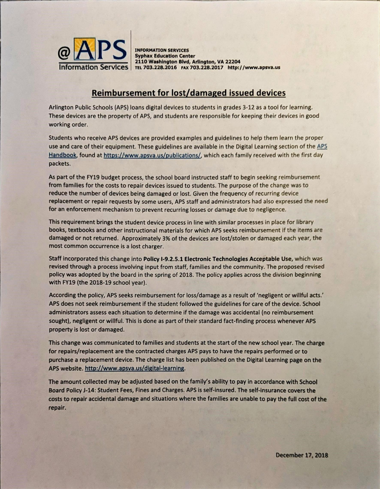

INFORMATION SERVICES Syphax Education Center 2110 Washington Blvd, Arlington, VA 22204 Information Services | TEL 703.228.2016 FAX 703.228.2017 http://www.apsva.us

## Reimbursement for lost/damaged issued devices

Arlington Public Schools (APS) loans digital devices to students in grades 3-12 as a tool for learning. These devices are the property of APS, and students are responsible for keeping their devices in good working order.

Students who receive APS devices are provided examples and guidelines to help them learn the proper use and care of their equipment. These guidelines are available in the Digital Learning section of the APS Handbook, found at https://www.apsva.us/publications/, which each family received with the first day packets.

As part of the FY19 budget process, the school board instructed staff to begin seeking reimbursement from families for the costs to repair devices issued to students. The purpose of the change was to reduce the number of devices being damaged or lost. Given the frequency of recurring device replacement or repair requests by some users, APS staff and administrators had also expressed the need for an enforcement mechanism to prevent recurring losses or damage due to negligence.

This requirement brings the student device process in line with similar processes in place for library books, textbooks and other instructional materials for which APS seeks reimbursement if the items are damaged or not returned. Approximately 3% of the devices are lost/stolen or damaged each year, the most common occurrence is a lost charger.

Staff incorporated this change into Policy I-9.2.5.1 Electronic Technologies Acceptable Use, which was revised through a process involving input from staff, families and the community. The proposed revised policy was adopted by the board in the spring of 2018. The policy applies across the division beginning with FY19 (the 2018-19 school year).

According the policy, APS seeks reimbursement for loss/damage as a result of 'negligent or willful acts.' APS does not seek reimbursement if the student followed the guidelines for care of the device. School administrators assess each situation to determine if the damage was accidental (no reimbursement sought), negligent or willful. This is done as part of their standard fact-finding process whenever APS property is lost or damaged.

This change was communicated to families and students at the start of the new school year. The charge for repairs/replacement are the contracted charges APS pays to have the repairs performed or to purchase a replacement device. The charge list has been published on the Digital Learning page on the APS website. http://www.apsva.us/digital-learning.

The amount collected may be adjusted based on the family's ability to pay in accordance with School Board Policy J-14: Student Fees, Fines and Charges. APS is self-insured. The self-insurance covers the costs to repair accidental damage and situations where the families are unable to pay the full cost of the repair.